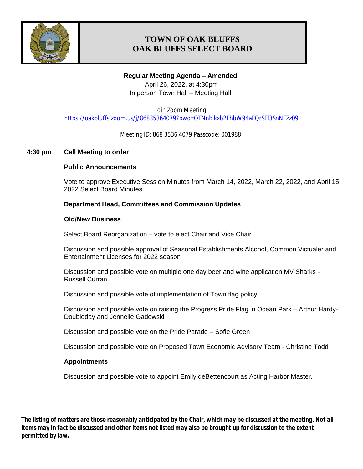

# **TOWN OF OAK BLUFFS OAK BLUFFS SELECT BOARD**

### **Regular Meeting Agenda – Amended**

April 26, 2022, at 4:30pm In person Town Hall – Meeting Hall

Join Zoom Meeting <https://oakbluffs.zoom.us/j/86835364079?pwd=OTNnblkxb2FhbW94aFQrSEl3SnNFZz09>

Meeting ID: 868 3536 4079 Passcode: 001988

### **4:30 pm Call Meeting to order**

### **Public Announcements**

Vote to approve Executive Session Minutes from March 14, 2022, March 22, 2022, and April 15, 2022 Select Board Minutes

### **Department Head, Committees and Commission Updates**

#### **Old/New Business**

Select Board Reorganization – vote to elect Chair and Vice Chair

Discussion and possible approval of Seasonal Establishments Alcohol, Common Victualer and Entertainment Licenses for 2022 season

Discussion and possible vote on multiple one day beer and wine application MV Sharks - Russell Curran.

Discussion and possible vote of implementation of Town flag policy

Discussion and possible vote on raising the Progress Pride Flag in Ocean Park – Arthur Hardy-Doubleday and Jennelle Gadowski

Discussion and possible vote on the Pride Parade – Sofie Green

Discussion and possible vote on Proposed Town Economic Advisory Team - Christine Todd

#### **Appointments**

Discussion and possible vote to appoint Emily deBettencourt as Acting Harbor Master.

*The listing of matters are those reasonably anticipated by the Chair, which may be discussed at the meeting. Not all items may in fact be discussed and other items not listed may also be brought up for discussion to the extent permitted by law.*